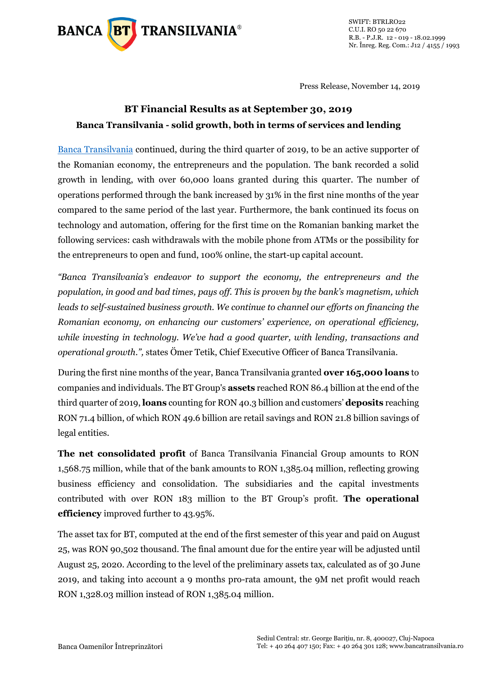

Press Release, November 14, 2019

# **BT Financial Results as at September 30, 2019 Banca Transilvania - solid growth, both in terms of services and lending**

Banca Transilvania continued, during the third quarter of 2019, to be an active supporter of the Romanian economy, the entrepreneurs and the population. The bank recorded a solid growth in lending, with over 60,000 loans granted during this quarter. The number of operations performed through the bank increased by 31% in the first nine months of the year compared to the same period of the last year. Furthermore, the bank continued its focus on technology and automation, offering for the first time on the Romanian banking market the following services: cash withdrawals with the mobile phone from ATMs or the possibility for the entrepreneurs to open and fund, 100% online, the start-up capital account.

*"Banca Transilvania's endeavor to support the economy, the entrepreneurs and the population, in good and bad times, pays off. This is proven by the bank's magnetism, which leads to self-sustained business growth. We continue to channel our efforts on financing the Romanian economy, on enhancing our customers' experience, on operational efficiency, while investing in technology. We've had a good quarter, with lending, transactions and operational growth.",* states Ömer Tetik, Chief Executive Officer of Banca Transilvania.

During the first nine months of the year, Banca Transilvania granted **over 165,000 loans** to companies and individuals. The BT Group's **assets** reached RON 86.4 billion at the end of the third quarter of 2019, **loans** counting for RON 40.3 billion and customers' **deposits** reaching RON 71.4 billion, of which RON 49.6 billion are retail savings and RON 21.8 billion savings of legal entities.

**The net consolidated profit** of Banca Transilvania Financial Group amounts to RON 1,568.75 million, while that of the bank amounts to RON 1,385.04 million, reflecting growing business efficiency and consolidation. The subsidiaries and the capital investments contributed with over RON 183 million to the BT Group's profit. **The operational efficiency** improved further to 43.95%.

The asset tax for BT, computed at the end of the first semester of this year and paid on August 25, was RON 90,502 thousand. The final amount due for the entire year will be adjusted until August 25, 2020. According to the level of the preliminary assets tax, calculated as of 30 June 2019, and taking into account a 9 months pro-rata amount, the 9M net profit would reach RON 1,328.03 million instead of RON 1,385.04 million.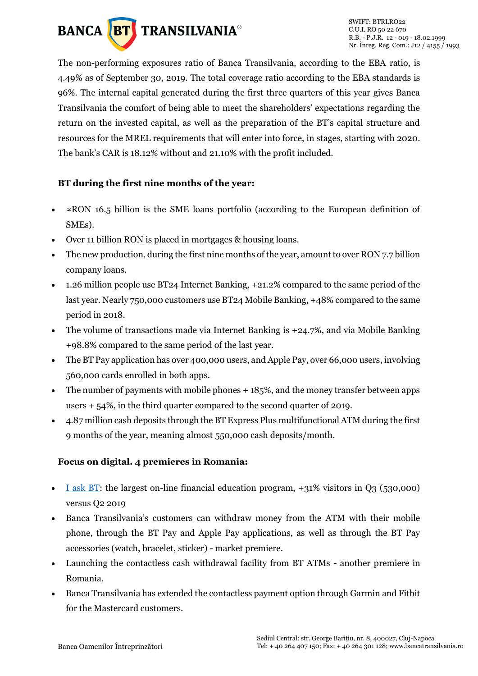

The non-performing exposures ratio of Banca Transilvania, according to the EBA ratio, is 4.49% as of September 30, 2019. The total coverage ratio according to the EBA standards is 96%. The internal capital generated during the first three quarters of this year gives Banca Transilvania the comfort of being able to meet the shareholders' expectations regarding the return on the invested capital, as well as the preparation of the BT's capital structure and resources for the MREL requirements that will enter into force, in stages, starting with 2020. The bank's CAR is 18.12% without and 21.10% with the profit included.

# **BT during the first nine months of the year:**

- $\approx$ RON 16.5 billion is the SME loans portfolio (according to the European definition of SMEs).
- Over 11 billion RON is placed in mortgages & housing loans.
- The new production, during the first nine months of the year, amount to over RON 7.7 billion company loans.
- 1.26 million people use BT24 Internet Banking, +21.2% compared to the same period of the last year. Nearly 750,000 customers use BT24 Mobile Banking, +48% compared to the same period in 2018.
- The volume of transactions made via Internet Banking is +24.7%, and via Mobile Banking +98.8% compared to the same period of the last year.
- The BT Pay application has over 400,000 users, and Apple Pay, over 66,000 users, involving 560,000 cards enrolled in both apps.
- The number of payments with mobile phones  $+185%$ , and the money transfer between apps users + 54%, in the third quarter compared to the second quarter of 2019.
- 4.87 million cash deposits through the BT Express Plus multifunctional ATM during the first 9 months of the year, meaning almost 550,000 cash deposits/month.

### **Focus on digital. 4 premieres in Romania:**

- [I ask BT:](https://intreb.bancatransilvania.ro/) the largest on-line financial education program, +31% visitors in O3 (530,000) versus Q2 2019
- Banca Transilvania's customers can withdraw money from the ATM with their mobile phone, through the BT Pay and Apple Pay applications, as well as through the BT Pay accessories (watch, bracelet, sticker) - market premiere.
- Launching the contactless cash withdrawal facility from BT ATMs another premiere in Romania.
- Banca Transilvania has extended the contactless payment option through Garmin and Fitbit for the Mastercard customers.